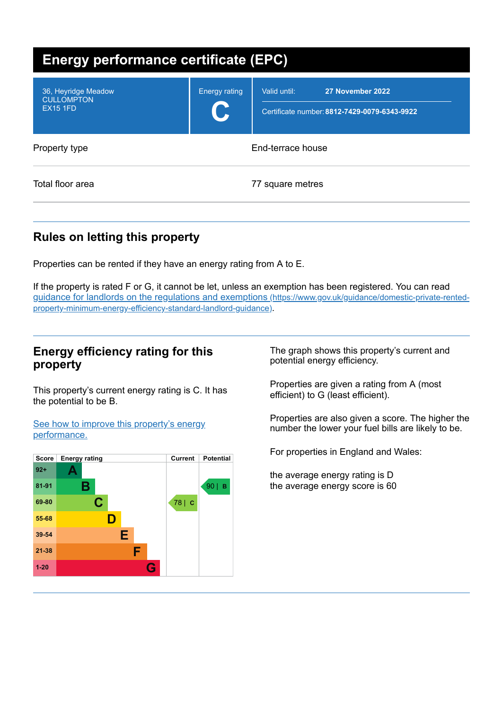| <b>Energy performance certificate (EPC)</b>                 |                      |                                                                                  |  |
|-------------------------------------------------------------|----------------------|----------------------------------------------------------------------------------|--|
| 36, Heyridge Meadow<br><b>CULLOMPTON</b><br><b>EX15 1FD</b> | <b>Energy rating</b> | 27 November 2022<br>Valid until:<br>Certificate number: 8812-7429-0079-6343-9922 |  |
| Property type                                               | End-terrace house    |                                                                                  |  |
| Total floor area                                            | 77 square metres     |                                                                                  |  |

# **Rules on letting this property**

Properties can be rented if they have an energy rating from A to E.

If the property is rated F or G, it cannot be let, unless an exemption has been registered. You can read guidance for landlords on the regulations and exemptions (https://www.gov.uk/guidance/domestic-private-rented[property-minimum-energy-efficiency-standard-landlord-guidance\)](https://www.gov.uk/guidance/domestic-private-rented-property-minimum-energy-efficiency-standard-landlord-guidance).

## **Energy efficiency rating for this property**

This property's current energy rating is C. It has the potential to be B.

See how to improve this property's energy [performance.](#page-2-0)



The graph shows this property's current and potential energy efficiency.

Properties are given a rating from A (most efficient) to G (least efficient).

Properties are also given a score. The higher the number the lower your fuel bills are likely to be.

For properties in England and Wales:

the average energy rating is D the average energy score is 60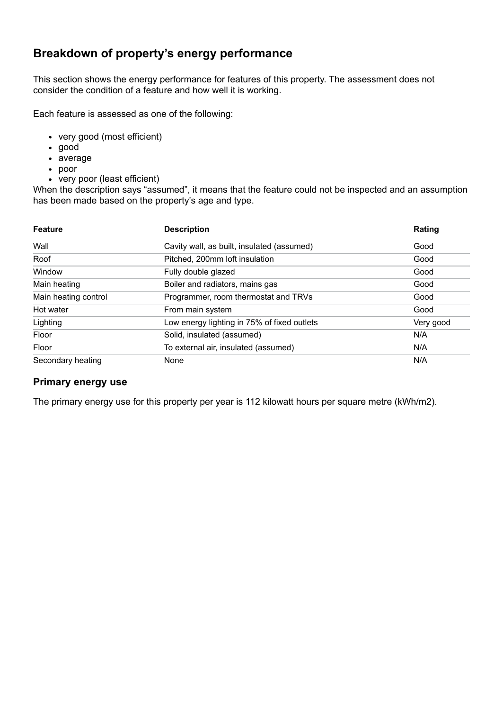# **Breakdown of property's energy performance**

This section shows the energy performance for features of this property. The assessment does not consider the condition of a feature and how well it is working.

Each feature is assessed as one of the following:

- very good (most efficient)
- good
- average
- poor
- very poor (least efficient)

When the description says "assumed", it means that the feature could not be inspected and an assumption has been made based on the property's age and type.

| <b>Feature</b>       | <b>Description</b>                          | Rating    |
|----------------------|---------------------------------------------|-----------|
| Wall                 | Cavity wall, as built, insulated (assumed)  | Good      |
| Roof                 | Pitched, 200mm loft insulation              | Good      |
| Window               | Fully double glazed                         | Good      |
| Main heating         | Boiler and radiators, mains gas             | Good      |
| Main heating control | Programmer, room thermostat and TRVs        | Good      |
| Hot water            | From main system                            | Good      |
| Lighting             | Low energy lighting in 75% of fixed outlets | Very good |
| Floor                | Solid, insulated (assumed)                  | N/A       |
| Floor                | To external air, insulated (assumed)        | N/A       |
| Secondary heating    | None                                        | N/A       |

#### **Primary energy use**

The primary energy use for this property per year is 112 kilowatt hours per square metre (kWh/m2).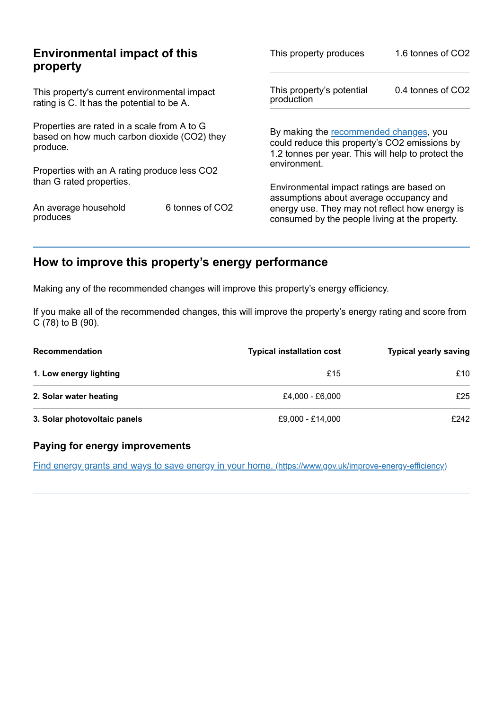| <b>Environmental impact of this</b>                                                                    | This property produces                                                                           | 1.6 tonnes of CO2                                                                                                                             |  |
|--------------------------------------------------------------------------------------------------------|--------------------------------------------------------------------------------------------------|-----------------------------------------------------------------------------------------------------------------------------------------------|--|
| This property's current environmental impact<br>rating is C. It has the potential to be A.             |                                                                                                  | 0.4 tonnes of CO2                                                                                                                             |  |
| Properties are rated in a scale from A to G<br>based on how much carbon dioxide (CO2) they<br>produce. |                                                                                                  | By making the recommended changes, you<br>could reduce this property's CO2 emissions by<br>1.2 tonnes per year. This will help to protect the |  |
|                                                                                                        |                                                                                                  |                                                                                                                                               |  |
|                                                                                                        | Environmental impact ratings are based on                                                        |                                                                                                                                               |  |
| 6 tonnes of CO2                                                                                        | energy use. They may not reflect how energy is<br>consumed by the people living at the property. |                                                                                                                                               |  |
|                                                                                                        | Properties with an A rating produce less CO2                                                     | This property's potential<br>production<br>environment.<br>assumptions about average occupancy and                                            |  |

# <span id="page-2-0"></span>**How to improve this property's energy performance**

Making any of the recommended changes will improve this property's energy efficiency.

If you make all of the recommended changes, this will improve the property's energy rating and score from C (78) to B (90).

| Recommendation               | <b>Typical installation cost</b> | <b>Typical yearly saving</b> |
|------------------------------|----------------------------------|------------------------------|
| 1. Low energy lighting       | £15                              | £10                          |
| 2. Solar water heating       | £4.000 - £6.000                  | £25                          |
| 3. Solar photovoltaic panels | £9,000 - £14,000                 | £242                         |

## **Paying for energy improvements**

Find energy grants and ways to save energy in your home. [\(https://www.gov.uk/improve-energy-efficiency\)](https://www.gov.uk/improve-energy-efficiency)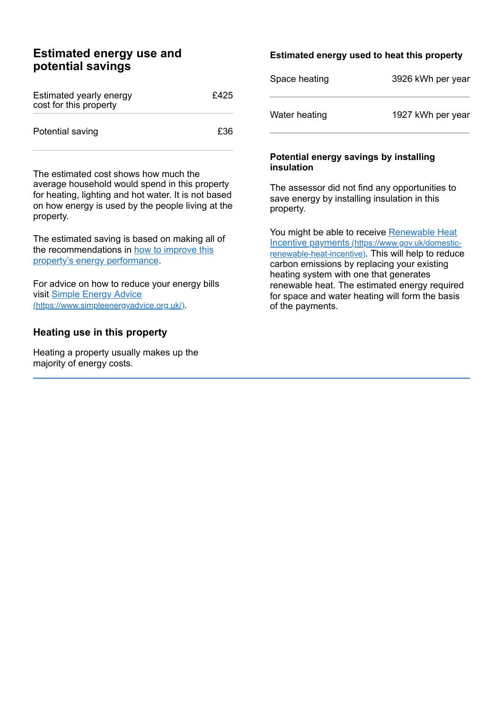## **Estimated energy use and potential savings**

| Estimated yearly energy<br>cost for this property | £425 |
|---------------------------------------------------|------|
| Potential saving                                  | £36. |

The estimated cost shows how much the average household would spend in this property for heating, lighting and hot water. It is not based on how energy is used by the people living at the property.

The estimated saving is based on making all of the [recommendations](#page-2-0) in how to improve this property's energy performance.

For advice on how to reduce your energy bills visit Simple Energy Advice [\(https://www.simpleenergyadvice.org.uk/\)](https://www.simpleenergyadvice.org.uk/).

### **Heating use in this property**

Heating a property usually makes up the majority of energy costs.

#### **Estimated energy used to heat this property**

| Space heating | 3926 kWh per year |
|---------------|-------------------|
| Water heating | 1927 kWh per year |

#### **Potential energy savings by installing insulation**

The assessor did not find any opportunities to save energy by installing insulation in this property.

You might be able to receive Renewable Heat Incentive payments [\(https://www.gov.uk/domestic](https://www.gov.uk/domestic-renewable-heat-incentive)renewable-heat-incentive). This will help to reduce carbon emissions by replacing your existing heating system with one that generates renewable heat. The estimated energy required for space and water heating will form the basis of the payments.